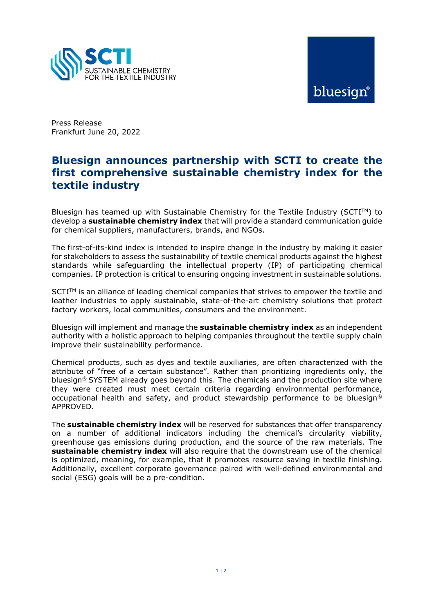

# bluesian®

Press Release Frankfurt June 20, 2022

## Bluesign announces partnership with SCTI to create the first comprehensive sustainable chemistry index for the textile industry

Bluesign has teamed up with Sustainable Chemistry for the Textile Industry ( $SCTI^{TM}$ ) to develop a sustainable chemistry index that will provide a standard communication quide for chemical suppliers, manufacturers, brands, and NGOs.

The first-of-its-kind index is intended to inspire change in the industry by making it easier for stakeholders to assess the sustainability of textile chemical products against the highest standards while safeguarding the intellectual property (IP) of participating chemical companies. IP protection is critical to ensuring ongoing investment in sustainable solutions.

 $SCTI<sup>TM</sup>$  is an alliance of leading chemical companies that strives to empower the textile and leather industries to apply sustainable, state-of-the-art chemistry solutions that protect factory workers, local communities, consumers and the environment.

Bluesign will implement and manage the **sustainable chemistry index** as an independent authority with a holistic approach to helping companies throughout the textile supply chain improve their sustainability performance.

Chemical products, such as dyes and textile auxiliaries, are often characterized with the attribute of "free of a certain substance". Rather than prioritizing ingredients only, the bluesign® SYSTEM already goes beyond this. The chemicals and the production site where they were created must meet certain criteria regarding environmental performance, occupational health and safety, and product stewardship performance to be bluesign<sup>®</sup> APPROVED.

The sustainable chemistry index will be reserved for substances that offer transparency on a number of additional indicators including the chemical's circularity viability, greenhouse gas emissions during production, and the source of the raw materials. The sustainable chemistry index will also require that the downstream use of the chemical is optimized, meaning, for example, that it promotes resource saving in textile finishing. Additionally, excellent corporate governance paired with well-defined environmental and social (ESG) goals will be a pre-condition.